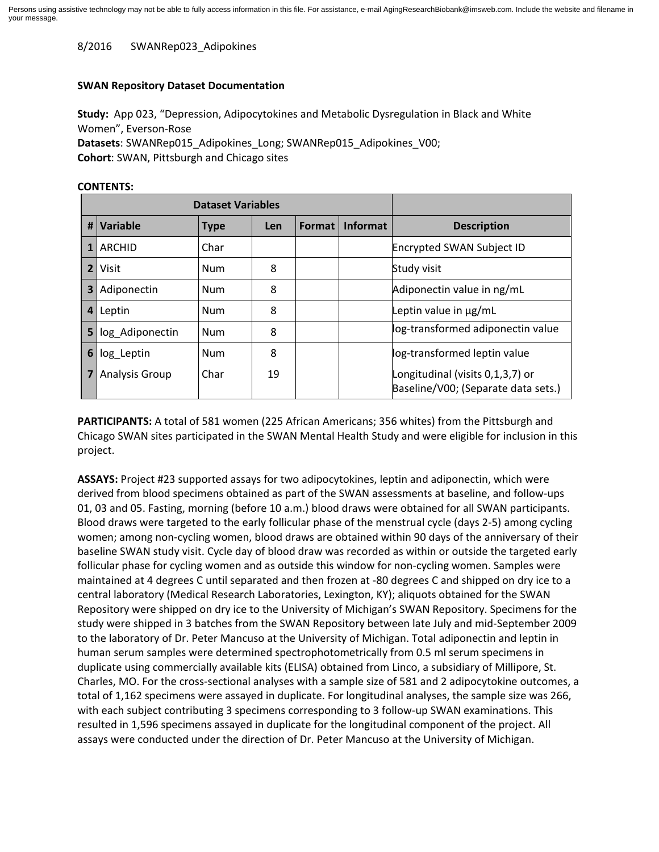8/2016 SWANRep023\_Adipokines

## **SWAN Repository Dataset Documentation**

**Study:** App 023, "Depression, Adipocytokines and Metabolic Dysregulation in Black and White Women", Everson-Rose **Datasets**: SWANRep015\_Adipokines\_Long; SWANRep015\_Adipokines\_V00; **Cohort**: SWAN, Pittsburgh and Chicago sites

| <b>Dataset Variables</b> |                       |             |            |        |                 |                                                                         |
|--------------------------|-----------------------|-------------|------------|--------|-----------------|-------------------------------------------------------------------------|
| #                        | Variable              | <b>Type</b> | <b>Len</b> | Format | <b>Informat</b> | <b>Description</b>                                                      |
|                          | ARCHID                | Char        |            |        |                 | <b>Encrypted SWAN Subject ID</b>                                        |
| $\overline{2}$           | Visit                 | <b>Num</b>  | 8          |        |                 | Study visit                                                             |
| 3                        | Adiponectin           | Num         | 8          |        |                 | Adiponectin value in ng/mL                                              |
| 4                        | Leptin                | Num         | 8          |        |                 | Leptin value in µg/mL                                                   |
| 5                        | log Adiponectin       | <b>Num</b>  | 8          |        |                 | log-transformed adiponectin value                                       |
| 6                        | log Leptin            | Num         | 8          |        |                 | log-transformed leptin value                                            |
|                          | <b>Analysis Group</b> | Char        | 19         |        |                 | Longitudinal (visits 0,1,3,7) or<br>Baseline/V00; (Separate data sets.) |

## **CONTENTS:**

**PARTICIPANTS:** A total of 581 women (225 African Americans; 356 whites) from the Pittsburgh and Chicago SWAN sites participated in the SWAN Mental Health Study and were eligible for inclusion in this project.

**ASSAYS:** Project #23 supported assays for two adipocytokines, leptin and adiponectin, which were derived from blood specimens obtained as part of the SWAN assessments at baseline, and follow-ups 01, 03 and 05. Fasting, morning (before 10 a.m.) blood draws were obtained for all SWAN participants. Blood draws were targeted to the early follicular phase of the menstrual cycle (days 2-5) among cycling women; among non-cycling women, blood draws are obtained within 90 days of the anniversary of their baseline SWAN study visit. Cycle day of blood draw was recorded as within or outside the targeted early follicular phase for cycling women and as outside this window for non-cycling women. Samples were maintained at 4 degrees C until separated and then frozen at -80 degrees C and shipped on dry ice to a central laboratory (Medical Research Laboratories, Lexington, KY); aliquots obtained for the SWAN Repository were shipped on dry ice to the University of Michigan's SWAN Repository. Specimens for the study were shipped in 3 batches from the SWAN Repository between late July and mid-September 2009 to the laboratory of Dr. Peter Mancuso at the University of Michigan. Total adiponectin and leptin in human serum samples were determined spectrophotometrically from 0.5 ml serum specimens in duplicate using commercially available kits (ELISA) obtained from Linco, a subsidiary of Millipore, St. Charles, MO. For the cross-sectional analyses with a sample size of 581 and 2 adipocytokine outcomes, a total of 1,162 specimens were assayed in duplicate. For longitudinal analyses, the sample size was 266, with each subject contributing 3 specimens corresponding to 3 follow-up SWAN examinations. This resulted in 1,596 specimens assayed in duplicate for the longitudinal component of the project. All assays were conducted under the direction of Dr. Peter Mancuso at the University of Michigan.